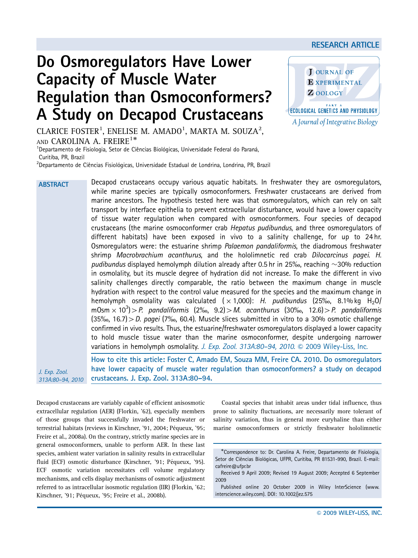# Do Osmoregulators Have Lower Capacity of Muscle Water Regulation than Osmoconformers? A Study on Decapod Crustaceans



**ECOLOGICAL GENETICS AND PHYSIOLOGY** A Journal of Integrative Biology

Z OOLOGY

CLARICE FOSTER<sup>1</sup>, ENELISE M. AMADO<sup>1</sup>, MARTA M. SOUZA<sup>2</sup>, AND CAROLINA A. FREIRE<sup>1\*</sup>

<sup>1</sup>Departamento de Fisiologia, Setor de Ciências Biológicas, Universidade Federal do Paraná, Curitiba, PR, Brazil

 $^{2}$ Departamento de Ciências Fisiológicas, Universidade Estadual de Londrina, Londrina, PR, Brazil

Decapod crustaceans occupy various aquatic habitats. In freshwater they are osmoregulators, while marine species are typically osmoconformers. Freshwater crustaceans are derived from marine ancestors. The hypothesis tested here was that osmoregulators, which can rely on salt transport by interface epithelia to prevent extracellular disturbance, would have a lower capacity of tissue water regulation when compared with osmoconformers. Four species of decapod crustaceans (the marine osmoconformer crab Hepatus pudibundus, and three osmoregulators of different habitats) have been exposed in vivo to a salinity challenge, for up to 24 hr. Osmoregulators were: the estuarine shrimp Palaemon pandaliformis, the diadromous freshwater shrimp Macrobrachium acanthurus, and the hololimnetic red crab Dilocarcinus pagei. H. pudibundus displayed hemolymph dilution already after 0.5 hr in 25‰, reaching  $\sim$ 30% reduction in osmolality, but its muscle degree of hydration did not increase. To make the different in vivo salinity challenges directly comparable, the ratio between the maximum change in muscle hydration with respect to the control value measured for the species and the maximum change in hemolymph osmolality was calculated  $(x 1,000)$ : H. pudibundus (25‰, 8.1% kg H<sub>2</sub>O/ mOsm  $\times$  10<sup>3</sup>) > P. pandaliformis (2‰, 9.2) > M. acanthurus (30‰, 12.6) > P. pandaliformis  $(35\%, 16.7)$   $> D.$  pagei (7%<sub>0</sub>, 60.4). Muscle slices submitted in vitro to a 30% osmotic challenge confirmed in vivo results. Thus, the estuarine/freshwater osmoregulators displayed a lower capacity to hold muscle tissue water than the marine osmoconformer, despite undergoing narrower variations in hemolymph osmolality. J. Exp. Zool.  $313A:80-94$ ,  $2010.$   $\odot$   $2009$  Wiley-Liss, Inc. How to cite this article: Foster C, Amado EM, Souza MM, Freire CA. 2010. Do osmoregulators ABSTRACT

J. Exp. Zool. 313A:80–94, 2010

have lower capacity of muscle water regulation than osmoconformers? a study on decapod crustaceans. J. Exp. Zool. 313A:80–94.

Decapod crustaceans are variably capable of efficient anisosmotic extracellular regulation (AER) (Florkin, '62), especially members of those groups that successfully invaded the freshwater or terrestrial habitats (reviews in Kirschner, '91, 2004; Péqueux, '95; Freire et al., 2008a). On the contrary, strictly marine species are in general osmoconformers, unable to perform AER. In these last species, ambient water variation in salinity results in extracellular fluid (ECF) osmotic disturbance (Kirschner, '91; Péqueux, '95). ECF osmotic variation necessitates cell volume regulatory mechanisms, and cells display mechanisms of osmotic adjustment referred to as intracellular isosmotic regulation (IIR) (Florkin, '62; Kirschner, '91; Péqueux, '95; Freire et al., 2008b).

Coastal species that inhabit areas under tidal influence, thus prone to salinity fluctuations, are necessarily more tolerant of salinity variation, thus in general more euryhaline than either marine osmoconformers or strictly freshwater hololimnetic

<sup>-</sup>Correspondence to: Dr. Carolina A. Freire, Departamento de Fisiologia, Setor de Ciências Biológicas, UFPR, Curitiba, PR 81531-990, Brazil. E-mail: cafreire@ufpr.br

Received 9 April 2009; Revised 19 August 2009; Accepted 6 September 2009

Published online 20 October 2009 in Wiley InterScience (www. interscience.wiley.com). DOI: 10.1002/jez.575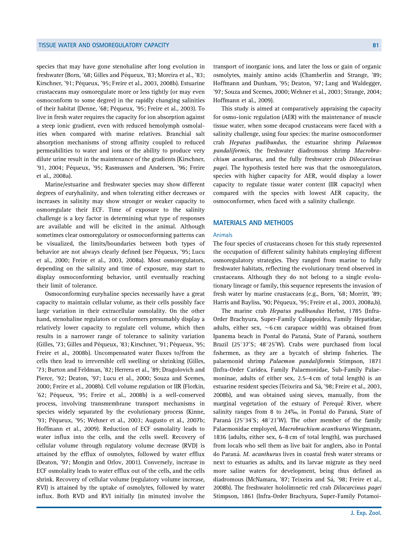species that may have gone stenohaline after long evolution in freshwater (Born, '68; Gilles and Péqueux, '83; Moreira et al., '83; Kirschner, '91; Péqueux, '95; Freire et al., 2003, 2008b). Estuarine crustaceans may osmoregulate more or less tightly (or may even osmoconform to some degree) in the rapidly changing salinities of their habitat (Denne, '68; Péqueux, '95; Freire et al., 2003). To live in fresh water requires the capacity for ion absorption against a steep ionic gradient, even with reduced hemolymph osmolalities when compared with marine relatives. Branchial salt absorption mechanisms of strong affinity coupled to reduced permeabilities to water and ions or the ability to produce very dilute urine result in the maintenance of the gradients (Kirschner, '91, 2004; Péqueux, '95; Rasmussen and Andersen, '96; Freire et al., 2008a).

Marine/estuarine and freshwater species may show different degrees of euryhalinity, and when tolerating either decreases or increases in salinity may show stronger or weaker capacity to osmoregulate their ECF. Time of exposure to the salinity challenge is a key factor in determining what type of responses are available and will be elicited in the animal. Although sometimes clear osmoregulatory or osmoconforming patterns can be visualized, the limits/boundaries between both types of behavior are not always clearly defined (see Péqueux, '95; Lucu et al., 2000; Freire et al., 2003, 2008a). Most osmoregulators, depending on the salinity and time of exposure, may start to display osmoconforming behavior, until eventually reaching their limit of tolerance.

Osmoconforming euryhaline species necessarily have a great capacity to maintain cellular volume, as their cells possibly face large variation in their extracellular osmolality. On the other hand, stenohaline regulators or conformers presumably display a relatively lower capacity to regulate cell volume, which then results in a narrower range of tolerance to salinity variation (Gilles, '73; Gilles and Péqueux, '83; Kirschner, '91; Péqueux, '95; Freire et al., 2008b). Uncompensated water fluxes to/from the cells then lead to irreversible cell swelling or shrinking (Gilles, '73; Burton and Feldman, '82; Herrera et al., '89; Dragolovich and Pierce, '92; Deaton, '97; Lucu et al., 2000; Souza and Scemes, 2000; Freire et al., 2008b). Cell volume regulation or IIR (Florkin, '62; Péqueux, '95; Freire et al., 2008b) is a well-conserved process, involving transmembrane transport mechanisms in species widely separated by the evolutionary process (Kinne, '93; Péqueux, '95; Wehner et al., 2003; Augusto et al., 2007b; Hoffmann et al., 2009). Reduction of ECF osmolality leads to water influx into the cells, and the cells swell. Recovery of cellular volume through regulatory volume decrease (RVD) is attained by the efflux of osmolytes, followed by water efflux (Deaton, '97; Mongin and Orlov, 2001). Conversely, increase in ECF osmolality leads to water efflux out of the cells, and the cells shrink. Recovery of cellular volume (regulatory volume increase, RVI) is attained by the uptake of osmolytes, followed by water influx. Both RVD and RVI initially (in minutes) involve the

transport of inorganic ions, and later the loss or gain of organic osmolytes, mainly amino acids (Chamberlin and Strange, '89; Hoffmann and Dunham, '95; Deaton, '97; Lang and Waldegger, '97; Souza and Scemes, 2000; Wehner et al., 2003; Strange, 2004; Hoffmann et al., 2009).

This study is aimed at comparatively appraising the capacity for osmo-ionic regulation (AER) with the maintenance of muscle tissue water, when some decapod crustaceans were faced with a salinity challenge, using four species: the marine osmoconformer crab Hepatus pudibundus, the estuarine shrimp Palaemon pandaliformis, the freshwater diadromous shrimp Macrobrachium acanthurus, and the fully freshwater crab Dilocarcinus pagei. The hypothesis tested here was that the osmoregulators, species with higher capacity for AER, would display a lower capacity to regulate tissue water content (IIR capacity) when compared with the species with lowest AER capacity, the osmoconformer, when faced with a salinity challenge.

## MATERIALS AND METHODS

#### Animals

The four species of crustaceans chosen for this study represented the occupation of different salinity habitats employing different osmoregulatory strategies. They ranged from marine to fully freshwater habitats, reflecting the evolutionary trend observed in crustaceans. Although they do not belong to a single evolutionary lineage or family, this sequence represents the invasion of fresh water by marine crustaceans (e.g., Born, '68; Morritt, '89; Harris and Bayliss, '90; Péqueux, '95; Freire et al., 2003, 2008a,b).

The marine crab Hepatus pudibundus Herbst, 1785 (Infra-Order Brachyura, Super-Family Calappoidea, Family Hepatidae, adults, either sex,  $\sim$ 6 cm carapace width) was obtained from Ipanema beach in Pontal do Paraná, State of Paraná, southern Brazil (25°37'S; 48°25'W). Crabs were purchased from local fishermen, as they are a bycatch of shrimp fisheries. The palaemonid shrimp Palaemon pandaliformis Stimpson, 1871 (Infra-Order Caridea, Family Palaemonidae, Sub-Family Palaemoninae, adults of either sex, 2.5–4 cm of total length) is an estuarine resident species (Teixeira and Sá, '98; Freire et al., 2003, 2008b), and was obtained using sieves, manually, from the marginal vegetation of the estuary of Perequê River, where salinity ranges from 8 to 24‰, in Pontal do Paraná, State of Paraná (25°34'S; 48°21'W). The other member of the family Palaemonidae employed, Macrobrachium acanthurus Wiegmann, 1836 (adults, either sex, 6–8 cm of total length), was purchased from locals who sell them as live bait for anglers, also in Pontal do Paraná. M. acanthurus lives in coastal fresh water streams or next to estuaries as adults, and its larvae migrate as they need more saline waters for development, being thus defined as diadromous (McNamara, '87; Teixeira and Sá, '98; Freire et al., 2008b). The freshwater hololimnetic red crab Dilocarcinus pagei Stimpson, 1861 (Infra-Order Brachyura, Super-Family Potamoi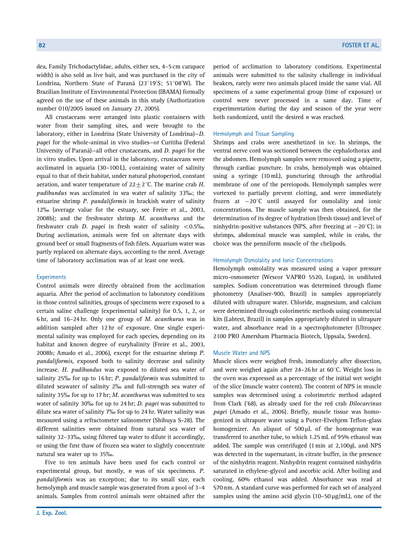dea, Family Trichodactylidae, adults, either sex, 4–5 cm carapace width) is also sold as live bait, and was purchased in the city of Londrina, Northern State of Paraná (23°19'S; 51°08'W). The Brazilian Institute of Environmental Protection (IBAMA) formally agreed on the use of these animals in this study (Authorization number 010/2005 issued on January 27, 2005).

All crustaceans were arranged into plastic containers with water from their sampling sites, and were brought to the laboratory, either in Londrina (State University of Londrina)—D. pagei for the whole-animal in vivo studies—or Curitiba (Federal University of Paraná)—all other crustaceans, and D. pagei for the in vitro studies. Upon arrival in the laboratory, crustaceans were acclimated in aquaria (30–100 L), containing water of salinity equal to that of their habitat, under natural photoperiod, constant aeration, and water temperature of  $22+2$ °C. The marine crab H. pudibundus was acclimated in sea water of salinity 33‰; the estuarine shrimp P. pandaliformis in brackish water of salinity 12‰ (average value for the estuary, see Freire et al., 2003, 2008b); and the freshwater shrimp M. acanthurus and the freshwater crab D. pagei in fresh water of salinity  $< 0.5$ %. During acclimation, animals were fed on alternate days with ground beef or small fragments of fish filets. Aquarium water was partly replaced on alternate days, according to the need. Average time of laboratory acclimation was of at least one week.

## **Experiments**

Control animals were directly obtained from the acclimation aquaria. After the period of acclimation to laboratory conditions in those control salinities, groups of specimens were exposed to a certain saline challenge (experimental salinity) for 0.5, 1, 2, or 6 hr, and 16–24 hr. Only one group of M. acanthurus was in addition sampled after 12 hr of exposure. One single experimental salinity was employed for each species, depending on its habitat and known degree of euryhalinity (Freire et al., 2003, 2008b; Amado et al., 2006), except for the estuarine shrimp P. pandaliformis, exposed both to salinity decrease and salinity increase. H. pudibundus was exposed to diluted sea water of salinity 25% for up to 16 hr; P. pandaliformis was submitted to diluted seawater of salinity 2% and full-strength sea water of salinity 35‰ for up to 17 hr; M. acanthurus was submitted to sea water of salinity 30% for up to 24 hr; D. pagei was submitted to dilute sea water of salinity 7% for up to 24 hr. Water salinity was measured using a refractometer salinometer (Shibuya S-28). The different salinities were obtained from natural sea water of salinity 32–33%, using filtered tap water to dilute it accordingly, or using the first thaw of frozen sea water to slightly concentrate natural sea water up to 35%.

Five to ten animals have been used for each control or experimental group, but mostly,  $n$  was of six specimens.  $P$ . pandaliformis was an exception; due to its small size, each hemolymph and muscle sample was generated from a pool of 3–4 animals. Samples from control animals were obtained after the

period of acclimation to laboratory conditions. Experimental animals were submitted to the salinity challenge in individual beakers, rarely were two animals placed inside the same vial. All specimens of a same experimental group (time of exposure) or control were never processed in a same day. Time of experimentation during the day and season of the year were both randomized, until the desired  $n$  was reached.

#### Hemolymph and Tissue Sampling

Shrimps and crabs were anesthetized in ice. In shrimps, the ventral nerve cord was sectioned between the cephalothorax and the abdomen. Hemolymph samples were removed using a pipette, through cardiac puncture. In crabs, hemolymph was obtained using a syringe (10 mL), puncturing through the arthrodial membrane of one of the pereiopods. Hemolymph samples were vortexed to partially prevent clotting, and were immediately frozen at  $-20^{\circ}$ C until assayed for osmolality and ionic concentrations. The muscle sample was then obtained, for the determination of its degree of hydration (fresh tissue) and level of ninhydrin-positive substances (NPS, after freezing at  $-20^{\circ}$ C); in shrimps, abdominal muscle was sampled, while in crabs, the choice was the penniform muscle of the chelipods.

## Hemolymph Osmolality and Ionic Concentrations

Hemolymph osmolality was measured using a vapor pressure micro-osmometer (Wescor VAPRO 5520, Logan), in undiluted samples. Sodium concentration was determined through flame photometry (Analiser-900, Brazil) in samples appropriately diluted with ultrapure water. Chloride, magnesium, and calcium were determined through colorimetric methods using commercial kits (Labtest, Brazil) in samples appropriately diluted in ultrapure water, and absorbance read in a spectrophotometer (Ultrospec 2100 PRO Amersham Pharmacia Biotech, Uppsala, Sweden).

#### Muscle Water and NPS

Muscle slices were weighed fresh, immediately after dissection, and were weighed again after  $24-26$  hr at  $60^{\circ}$ C. Weight loss in the oven was expressed as a percentage of the initial wet weight of the slice (muscle water content). The content of NPS in muscle samples was determined using a colorimetric method adapted from Clark ('68), as already used for the red crab Dilocarcinus pagei (Amado et al., 2006). Briefly, muscle tissue was homogenized in ultrapure water using a Potter-Elvehjem Teflon-glass homogenizer. An aliquot of  $500 \mu L$  of the homogenate was transferred to another tube, to which 1.25 mL of 95% ethanol was added. The sample was centrifuged (1 min at 2,100g), and NPS was detected in the supernatant, in citrate buffer, in the presence of the ninhydrin reagent. Ninhydrin reagent contained ninhydrin saturated in ethylene-glycol and ascorbic acid. After boiling and cooling, 60% ethanol was added. Absorbance was read at 570 nm. A standard curve was performed for each set of analyzed samples using the amino acid glycin  $(10-50 \,\mu\text{g/mL})$ , one of the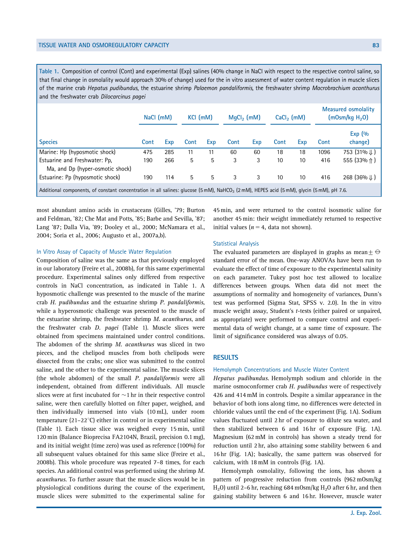Table 1. Composition of control (Cont) and experimental (Exp) salines (40% change in NaCl with respect to the respective control saline, so that final change in osmolality would approach 30% of change) used for the in vitro assessment of water content regulation in muscle slices of the marine crab Hepatus pudibundus, the estuarine shrimp Palaemon pandaliformis, the freshwater shrimp Macrobrachium acanthurus and the freshwater crab Dilocarcinus pagei

|                                                                                                                                                       | NaCl (mM) |     | KCI (mM) |     | $MqCl2$ (mM) |     | $CaCl2$ (mM) |     | <b>Measured osmolality</b><br>(mOsm/kg H <sub>2</sub> O) |                         |
|-------------------------------------------------------------------------------------------------------------------------------------------------------|-----------|-----|----------|-----|--------------|-----|--------------|-----|----------------------------------------------------------|-------------------------|
| <b>Species</b>                                                                                                                                        | Cont      | Exp | Cont     | Exp | Cont         | Exp | Cont         | Exp | Cont                                                     | Exp $(%$<br>change)     |
| Marine: Hp (hyposmotic shock)                                                                                                                         | 475       | 285 | 11       | 11  | 60           | 60  | 18           | 18  | 1096                                                     | 753 (31% ↓)             |
| Estuarine and Freshwater: Pp.<br>Ma, and Dp (hyper-osmotic shock)                                                                                     | 190       | 266 | 5        | 5   | 3            | 3   | 10           | 10  | 416                                                      | 555 (33% ↑)             |
| Estuarine: Pp (hyposmotic shock)                                                                                                                      | 190       | 114 | 5        | 5   | 3            | 3   | 10           | 10  | 416                                                      | 268 (36% $\downarrow$ ) |
| Additional components, of constant concentration in all salines: glucose (5 mM), NaHCO <sub>3</sub> (2 mM), HEPES acid (5 mM), glycin (5 mM), pH 7.6. |           |     |          |     |              |     |              |     |                                                          |                         |

most abundant amino acids in crustaceans (Gilles, '79; Burton and Feldman, '82; Che Mat and Potts, '85; Barbe and Sevilla, '87; Lang '87; Dalla Via, '89; Dooley et al., 2000; McNamara et al., 2004; Soria et al., 2006; Augusto et al., 2007a,b).

#### In Vitro Assay of Capacity of Muscle Water Regulation

Composition of saline was the same as that previously employed in our laboratory (Freire et al., 2008b), for this same experimental procedure. Experimental salines only differed from respective controls in NaCl concentration, as indicated in Table 1. A hyposmotic challenge was presented to the muscle of the marine crab H. pudibundus and the estuarine shrimp P. pandaliformis, while a hyperosmotic challenge was presented to the muscle of the estuarine shrimp, the freshwater shrimp M. acanthurus, and the freshwater crab D. pagei (Table 1). Muscle slices were obtained from specimens maintained under control conditions. The abdomen of the shrimp M. acanthurus was sliced in two pieces, and the chelipod muscles from both chelipods were dissected from the crabs; one slice was submitted to the control saline, and the other to the experimental saline. The muscle slices (the whole abdomen) of the small P. pandaliformis were all independent, obtained from different individuals. All muscle slices were at first incubated for  $\sim$ 1 hr in their respective control saline, were then carefully blotted on filter paper, weighed, and then individually immersed into vials (10 mL), under room temperature (21–22 $^{\circ}$ C) either in control or in experimental saline (Table 1). Each tissue slice was weighed every 15 min, until 120 min (Balance Bioprecisa FA2104N, Brazil, precision 0.1 mg), and its initial weight (time zero) was used as reference (100%) for all subsequent values obtained for this same slice (Freire et al., 2008b). This whole procedure was repeated 7–8 times, for each species. An additional control was performed using the shrimp M. acanthurus. To further assure that the muscle slices would be in physiological conditions during the course of the experiment, muscle slices were submitted to the experimental saline for

45 min, and were returned to the control isosmotic saline for another 45 min: their weight immediately returned to respective initial values ( $n = 4$ , data not shown).

## Statistical Analysis

The evaluated parameters are displayed in graphs as mean $\pm \ominus$ standard error of the mean. One-way ANOVAs have been run to evaluate the effect of time of exposure to the experimental salinity on each parameter. Tukey post hoc test allowed to localize differences between groups. When data did not meet the assumptions of normality and homogeneity of variances, Dunn's test was performed (Sigma Stat, SPSS v. 2.0). In the in vitro muscle weight assay, Student's t-tests (either paired or unpaired, as appropriate) were performed to compare control and experimental data of weight change, at a same time of exposure. The limit of significance considered was always of 0.05.

## **RESULTS**

#### Hemolymph Concentrations and Muscle Water Content

Hepatus pudibundus. Hemolymph sodium and chloride in the marine osmoconformer crab H. pudibundus were of respectively 426 and 414 mM in controls. Despite a similar appearance in the behavior of both ions along time, no differences were detected in chloride values until the end of the experiment (Fig. 1A). Sodium values fluctuated until 2 hr of exposure to dilute sea water, and then stabilized between 6 and 16 hr of exposure (Fig. 1A). Magnesium (62 mM in controls) has shown a steady trend for reduction until 2 hr, also attaining some stability between 6 and 16 hr (Fig. 1A); basically, the same pattern was observed for calcium, with 18 mM in controls (Fig. 1A).

Hemolymph osmolality, following the ions, has shown a pattern of progressive reduction from controls (962 mOsm/kg H<sub>2</sub>O) until 2-6 hr, reaching 684 mOsm/kg H<sub>2</sub>O after 6 hr, and then gaining stability between 6 and 16 hr. However, muscle water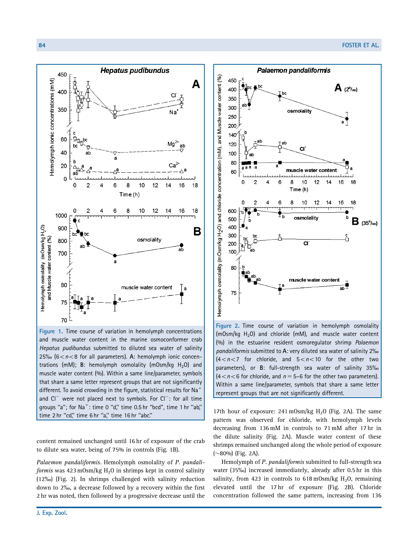

Figure 1. Time course of variation in hemolymph concentrations and muscle water content in the marine osmoconformer crab Hepatus pudibundus submitted to diluted sea water of salinity 25‰ (6 $<$ n<8 for all parameters). A: hemolymph ionic concentrations (mM); B: hemolymph osmolality (mOsm/kg  $H_2O$ ) and muscle water content (%). Within a same line/parameter, symbols that share a same letter represent groups that are not significantly different. To avoid crowding in the figure, statistical results for Na<sup>-</sup> and  $Cl^-$  were not placed next to symbols. For  $Cl^-$ : for all time groups "a"; for  $Na^+$ : time 0 "d," time 0.5 hr "bcd", time 1 hr "ab," time 2 hr ''cd,'' time 6 hr ''a,'' time 16 hr ''abc.''

content remained unchanged until 16 hr of exposure of the crab to dilute sea water, being of 75% in controls (Fig. 1B).

Palaemon pandaliformis. Hemolymph osmolality of P. pandaliformis was  $423 \text{ mOsm/kg H}_2\text{O}$  in shrimps kept in control salinity (12%) (Fig. 2). In shrimps challenged with salinity reduction down to 2%, a decrease followed by a recovery within the first 2 hr was noted, then followed by a progressive decrease until the



Figure 2. Time course of variation in hemolymph osmolality (mOsm/kg  $H_2O$ ) and chloride (mM), and muscle water content (%) in the estuarine resident osmoregulator shrimp Palaemon pandaliformis submitted to A: very diluted sea water of salinity 2%  $(4 < n < 7$  for chloride, and  $5 < n < 10$  for the other two parameters), or B: full-strength sea water of salinity 35%  $(4 < n < 6$  for chloride, and  $n = 5-6$  for the other two parameters). Within a same line/parameter, symbols that share a same letter represent groups that are not significantly different.

17th hour of exposure:  $241 \text{ mOsm/kg H}_2$ O (Fig. 2A). The same pattern was observed for chloride, with hemolymph levels decreasing from 136 mM in controls to 71 mM after 17 hr in the dilute salinity (Fig. 2A). Muscle water content of these shrimps remained unchanged along the whole period of exposure  $(\sim 80\%)$  (Fig. 2A).

Hemolymph of P. pandaliformis submitted to full-strength sea water (35‰) increased immediately, already after 0.5 hr in this salinity, from 423 in controls to  $618 \text{ mOsm/kg}$  H<sub>2</sub>O, remaining elevated until the 17 hr of exposure (Fig. 2B). Chloride concentration followed the same pattern, increasing from 136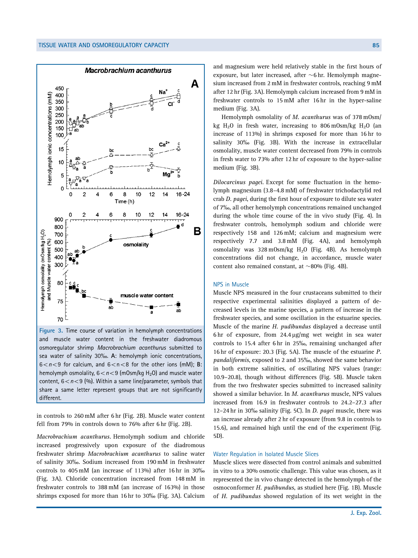

Figure 3. Time course of variation in hemolymph concentrations and muscle water content in the freshwater diadromous osmoregulator shrimp Macrobrachium acanthurus submitted to sea water of salinity 30%. A: hemolymph ionic concentrations,  $6 < n < 9$  for calcium, and  $6 < n < 8$  for the other ions (mM); B: hemolymph osmolality,  $6 < n < 9$  (mOsm/kg H<sub>2</sub>O) and muscle water content,  $6 < n < 9$  (%). Within a same line/parameter, symbols that share a same letter represent groups that are not significantly different.

in controls to 260 mM after 6 hr (Fig. 2B). Muscle water content fell from 79% in controls down to 76% after 6 hr (Fig. 2B).

Macrobrachium acanthurus. Hemolymph sodium and chloride increased progressively upon exposure of the diadromous freshwater shrimp Macrobrachium acanthurus to saline water of salinity 30%. Sodium increased from 190 mM in freshwater controls to 405 mM (an increase of 113%) after 16 hr in 30% (Fig. 3A). Chloride concentration increased from 148 mM in freshwater controls to 388 mM (an increase of 163%) in those shrimps exposed for more than 16 hr to 30% (Fig. 3A). Calcium

and magnesium were held relatively stable in the first hours of exposure, but later increased, after  $\sim$ 6 hr. Hemolymph magnesium increased from 2 mM in freshwater controls, reaching 9 mM after 12 hr (Fig. 3A). Hemolymph calcium increased from 9 mM in freshwater controls to 15 mM after 16 hr in the hyper-saline medium (Fig. 3A).

Hemolymph osmolality of M. acanthurus was of 378 mOsm/ kg  $H_2O$  in fresh water, increasing to 806 mOsm/kg  $H_2O$  (an increase of 113%) in shrimps exposed for more than 16 hr to salinity 30% (Fig. 3B). With the increase in extracellular osmolality, muscle water content decreased from 79% in controls in fresh water to 73% after 12 hr of exposure to the hyper-saline medium (Fig. 3B).

Dilocarcinus pagei. Except for some fluctuation in the hemolymph magnesium (3.8–4.8 mM) of freshwater trichodactylid red crab *D. pagei*, during the first hour of exposure to dilute sea water of 7%, all other hemolymph concentrations remained unchanged during the whole time course of the in vivo study (Fig. 4). In freshwater controls, hemolymph sodium and chloride were respectively 158 and 126 mM; calcium and magnesium were respectively 7.7 and 3.8 mM (Fig. 4A), and hemolymph osmolality was  $328 \text{ mOsm/kg}$  H<sub>2</sub>O (Fig. 4B). As hemolymph concentrations did not change, in accordance, muscle water content also remained constant, at  $\sim$ 80% (Fig. 4B).

#### NPS in Muscle

Muscle NPS measured in the four crustaceans submitted to their respective experimental salinities displayed a pattern of decreased levels in the marine species, a pattern of increase in the freshwater species, and some oscillation in the estuarine species. Muscle of the marine H. pudibundus displayed a decrease until 6 hr of exposure, from  $24.4 \mu$ g/mg wet weight in sea water controls to 15.4 after 6 hr in 25%, remaining unchanged after 16 hr of exposure: 20.3 (Fig. 5A). The muscle of the estuarine P. pandaliformis, exposed to 2 and 35%, showed the same behavior in both extreme salinities, of oscillating NPS values (range: 10.9–20.8), though without differences (Fig. 5B). Muscle taken from the two freshwater species submitted to increased salinity showed a similar behavior. In M. acanthurus muscle, NPS values increased from 16.9 in freshwater controls to 24.2–27.3 after 12-24 hr in 30‰ salinity (Fig. 5C). In *D. pagei* muscle, there was an increase already after 2 hr of exposure (from 9.8 in controls to 15.6), and remained high until the end of the experiment (Fig. 5D).

## Water Regulation in Isolated Muscle Slices

Muscle slices were dissected from control animals and submitted in vitro to a 30% osmotic challenge. This value was chosen, as it represented the in vivo change detected in the hemolymph of the osmoconformer H. pudibundus, as studied here (Fig. 1B). Muscle of H. pudibundus showed regulation of its wet weight in the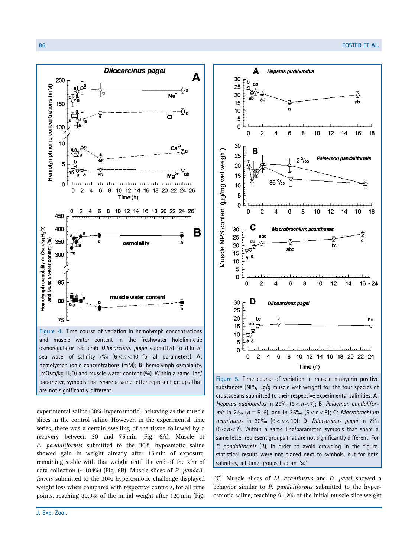

Figure 4. Time course of variation in hemolymph concentrations and muscle water content in the freshwater hololimnetic osmoregulator red crab Dilocarcinus pagei submitted to diluted sea water of salinity 7% ( $6 < n < 10$  for all parameters). A: hemolymph ionic concentrations (mM); B: hemolymph osmolality, (mOsm/kg  $H_2O$ ) and muscle water content (%). Within a same line/ parameter, symbols that share a same letter represent groups that are not significantly different.

experimental saline (30% hyperosmotic), behaving as the muscle slices in the control saline. However, in the experimental time series, there was a certain swelling of the tissue followed by a recovery between 30 and 75 min (Fig. 6A). Muscle of P. pandaliformis submitted to the 30% hyposmotic saline showed gain in weight already after 15 min of exposure, remaining stable with that weight until the end of the 2 hr of data collection ( $\sim$ 104%) (Fig. 6B). Muscle slices of P. pandaliformis submitted to the 30% hyperosmotic challenge displayed weight loss when compared with respective controls, for all time points, reaching 89.3% of the initial weight after 120 min (Fig.



Figure 5. Time course of variation in muscle ninhydrin positive substances (NPS, µg/g muscle wet weight) for the four species of crustaceans submitted to their respective experimental salinities. A: Hepatus pudibundus in 25‰ (5 <  $n$  < 7); B: Palaemon pandalifor*mis* in 2‰ (*n* = 5–6), and in 35‰ (5 < *n* < 8); C: Macrobrachium acanthurus in 30%  $(6 < n < 10)$ ; D: Dilocarcinus pagei in 7%  $(5 < n < 7)$ . Within a same line/parameter, symbols that share a same letter represent groups that are not significantly different. For P. pandaliformis (B), in order to avoid crowding in the figure, statistical results were not placed next to symbols, but for both salinities, all time groups had an ''a.''

6C). Muscle slices of M. acanthurus and D. pagei showed a behavior similar to P. pandaliformis submitted to the hyperosmotic saline, reaching 91.2% of the initial muscle slice weight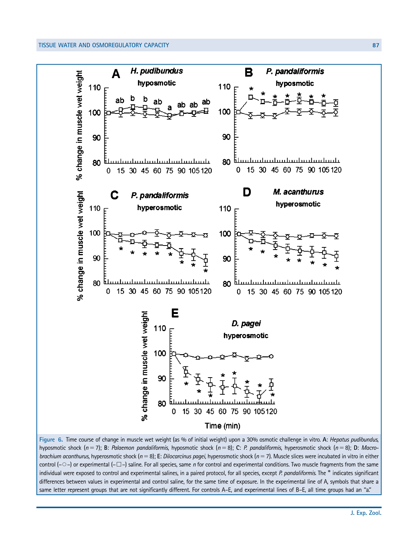## TISSUE WATER AND OSMOREGULATORY CAPACITY AND RESIDENCE IN A SERVICE OF STATE OF STATE AND STATES AND RESIDENCE



Figure 6. Time course of change in muscle wet weight (as % of initial weight) upon a 30% osmotic challenge in vitro. A: Hepatus pudibundus, hyposmotic shock (n = 7); B: Palaemon pandaliformis, hyposmotic shock (n = 8); C: P. pandaliformis, hyperosmotic shock (n = 8); D: Macrobrachium acanthurus, hyperosmotic shock ( $n=8$ ); E: Dilocarcinus pagei, hyperosmotic shock ( $n=7$ ). Muscle slices were incubated in vitro in either control (- $\circ$ ) or experimental (- $\Box$ ) saline. For all species, same n for control and experimental conditions. Two muscle fragments from the same individual were exposed to control and experimental salines, in a paired protocol, for all species, except P. pandaliformis. The \* indicates significant differences between values in experimental and control saline, for the same time of exposure. In the experimental line of A, symbols that share a same letter represent groups that are not significantly different. For controls A–E, and experimental lines of B–E, all time groups had an ''a.''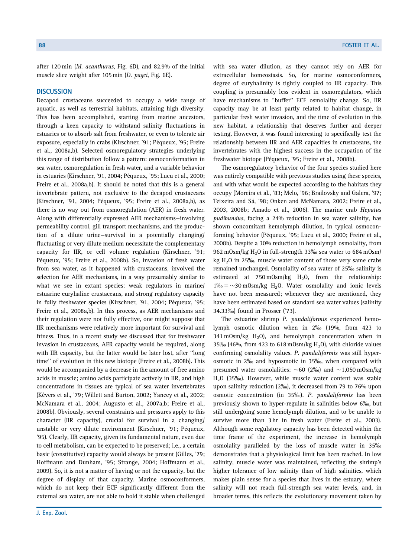after 120 min (M. acanthurus, Fig. 6D), and 82.9% of the initial muscle slice weight after 105 min (D. pagei, Fig. 6E).

## **DISCUSSION**

Decapod crustaceans succeeded to occupy a wide range of aquatic, as well as terrestrial habitats, attaining high diversity. This has been accomplished, starting from marine ancestors, through a keen capacity to withstand salinity fluctuations in estuaries or to absorb salt from freshwater, or even to tolerate air exposure, especially in crabs (Kirschner, '91; Péqueux, '95; Freire et al., 2008a,b). Selected osmoregulatory strategies underlying this range of distribution follow a pattern: osmoconformation in sea water, osmoregulation in fresh water, and a variable behavior in estuaries (Kirschner, '91, 2004; Péqueux, '95; Lucu et al., 2000; Freire et al., 2008a,b). It should be noted that this is a general invertebrate pattern, not exclusive to the decapod crustaceans (Kirschner, '91, 2004; Péqueux, '95; Freire et al., 2008a,b), as there is no way out from osmoregulation (AER) in fresh water. Along with differentially expressed AER mechanisms—involving permeability control, gill transport mechanisms, and the production of a dilute urine—survival in a potentially changing/ fluctuating or very dilute medium necessitate the complementary capacity for IIR, or cell volume regulation (Kirschner, '91; Péqueux, '95; Freire et al., 2008b). So, invasion of fresh water from sea water, as it happened with crustaceans, involved the selection for AER mechanisms, in a way presumably similar to what we see in extant species: weak regulators in marine/ estuarine euryhaline crustaceans, and strong regulatory capacity in fully freshwater species (Kirschner, '91, 2004; Péqueux, '95; Freire et al., 2008a,b). In this process, as AER mechanisms and their regulation were not fully effective, one might suppose that IIR mechanisms were relatively more important for survival and fitness. Thus, in a recent study we discussed that for freshwater invasion in crustaceans, AER capacity would be required, along with IIR capacity, but the latter would be later lost, after ''long time'' of evolution in this new biotope (Freire et al., 2008b). This would be accompanied by a decrease in the amount of free amino acids in muscle; amino acids participate actively in IIR, and high concentrations in tissues are typical of sea water invertebrates (Kévers et al., '79; Willett and Burton, 2002; Yancey et al., 2002; McNamara et al., 2004; Augusto et al., 2007a,b; Freire et al., 2008b). Obviously, several constraints and pressures apply to this character (IIR capacity), crucial for survival in a changing/ unstable or very dilute environment (Kirschner, '91; Péqueux, '95). Clearly, IIR capacity, given its fundamental nature, even due to cell metabolism, can be expected to be preserved; i.e., a certain basic (constitutive) capacity would always be present (Gilles, '79; Hoffmann and Dunham, '95; Strange, 2004; Hoffmann et al., 2009). So, it is not a matter of having or not the capacity, but the degree of display of that capacity. Marine osmoconformers, which do not keep their ECF significantly different from the external sea water, are not able to hold it stable when challenged

with sea water dilution, as they cannot rely on AER for extracellular homeostasis. So, for marine osmoconformers, degree of euryhalinity is tightly coupled to IIR capacity. This coupling is presumably less evident in osmoregulators, which have mechanisms to ''buffer'' ECF osmolality change. So, IIR capacity may be at least partly related to habitat change, in particular fresh water invasion, and the time of evolution in this new habitat, a relationship that deserves further and deeper testing. However, it was found interesting to specifically test the relationship between IIR and AER capacities in crustaceans, the invertebrates with the highest success in the occupation of the freshwater biotope (Péqueux, '95; Freire et al., 2008b).

The osmoregulatory behavior of the four species studied here was entirely compatible with previous studies using these species, and with what would be expected according to the habitats they occupy (Moreira et al., '83; Melo, '96; Brailovsky and Galera, '97; Teixeira and Sá, '98; Onken and McNamara, 2002; Freire et al., 2003, 2008b; Amado et al., 2006). The marine crab Hepatus pudibundus, facing a 24% reduction in sea water salinity, has shown concomitant hemolymph dilution, in typical osmoconforming behavior (Péqueux, '95; Lucu et al., 2000; Freire et al., 2008b). Despite a 30% reduction in hemolymph osmolality, from 962 mOsm/kg H<sub>2</sub>O in full-strength 33‰ sea water to 684 mOsm/ kg  $H<sub>2</sub>0$  in 25‰, muscle water content of those very same crabs remained unchanged. Osmolality of sea water of 25% salinity is estimated at  $750 \text{ mOsm/kg}$   $H_2O$ , from the relationship:  $1\% = \sim 30 \text{ mOsm/kg H}_2$ O. Water osmolality and ionic levels have not been measured; whenever they are mentioned, they have been estimated based on standard sea water values (salinity 34.33%) found in Prosser ('73).

The estuarine shrimp P. pandaliformis experienced hemolymph osmotic dilution when in 2% (19%, from 423 to 341 mOsm/kg  $H_2O$ , and hemolymph concentration when in 35‰ (46%, from 423 to 618 mOsm/kg  $H<sub>2</sub>$ O), with chloride values confirming osmolality values. P. pandaliformis was still hyperosmotic in 2% and hyposmotic in 35%, when compared with presumed water osmolalities:  $\sim$ 60 (2‰) and  $\sim$ 1,050 m0sm/kg  $H<sub>2</sub>$ O (35‰). However, while muscle water content was stable upon salinity reduction (2%), it decreased from 79 to 76% upon osmotic concentration (in 35‰). P. pandaliformis has been previously shown to hyper-regulate in salinities below 6%, but still undergoing some hemolymph dilution, and to be unable to survive more than 3 hr in fresh water (Freire et al., 2003). Although some regulatory capacity has been detected within the time frame of the experiment, the increase in hemolymph osmolality paralleled by the loss of muscle water in 35% demonstrates that a physiological limit has been reached. In low salinity, muscle water was maintained, reflecting the shrimp's higher tolerance of low salinity than of high salinities, which makes plain sense for a species that lives in the estuary, where salinity will not reach full-strength sea water levels, and, in broader terms, this reflects the evolutionary movement taken by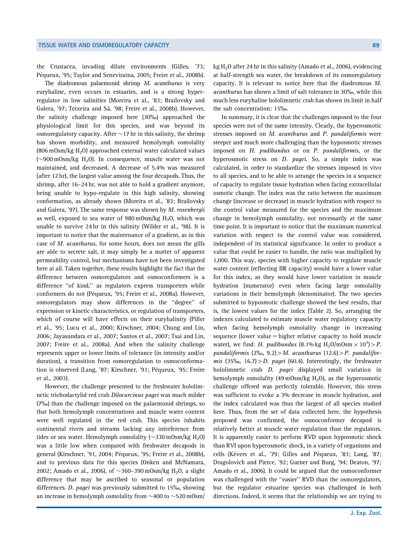the Crustacea, invading dilute environments (Gilles, '73; Péqueux, '95; Taylor and Seneviratna, 2005; Freire et al., 2008b).

The diadromous palaemonid shrimp M. acanthurus is very euryhaline, even occurs in estuaries, and is a strong hyperregulator in low salinities (Moreira et al., '83; Brailovsky and Galera, '97; Teixeira and Sá, '98; Freire et al., 2008b). However, the salinity challenge imposed here (30%) approached the physiological limit for this species, and was beyond its osmoregulatory capacity. After  $\sim$  17 hr in this salinity, the shrimp has shown morbidity, and measured hemolymph osmolality  $(806 \text{ mOsm/kg H}_2O)$  approached external water calculated values  $\sim$ 900 mOsm/kg H<sub>2</sub>O). In consequence, muscle water was not maintained, and decreased. A decrease of 5.4% was measured (after 12 hr), the largest value among the four decapods. Thus, the shrimp, after 16–24 hr, was not able to hold a gradient anymore, being unable to hypo-regulate in this high salinity, showing conformation, as already shown (Moreira et al., '83; Brailovsky and Galera, '97). The same response was shown by M. rosenbergii as well, exposed to sea water of 980 mOsm/kg  $H_2O$ , which was unable to survive 24 hr in this salinity (Wilder et al., '98). It is important to notice that the maintenance of a gradient, as in this case of M. acanthurus, for some hours, does not mean the gills are able to secrete salt, it may simply be a matter of apparent permeability control, but mechanisms have not been investigated here at all. Taken together, these results highlight the fact that the difference between osmoregulators and osmoconformers is a difference ''of kind,'' as regulators express transporters while conformers do not (Péqueux, '95; Freire et al., 2008a). However, osmoregulators may show differences in the ''degree'' of expression or kinetic characteristics, or regulation of transporters, which of course will have effects on their euryhalinity (Piller et al., '95; Lucu et al., 2000; Kirschner, 2004; Chung and Lin, 2006; Jayasundara et al., 2007; Santos et al., 2007; Tsai and Lin, 2007; Freire et al., 2008a). And when the salinity challenge represents upper or lower limits of tolerance (in intensity and/or duration), a transition from osmoregulation to osmoconformation is observed (Lang, '87; Kirschner, '91; Péqueux, '95; Freire et al., 2003).

However, the challenge presented to the freshwater hololimnetic trichodactylid red crab Dilocarcinus pagei was much milder (7%) than the challenge imposed on the palaemonid shrimps, so that both hemolymph concentrations and muscle water content were well regulated in the red crab. This species inhabits continental rivers and streams lacking any interference from tides or sea water. Hemolymph osmolality ( $\sim$ 330 m0sm/kg H<sub>2</sub>0) was a little low when compared with freshwater decapods in general (Kirschner, '91, 2004; Péqueux, '95; Freire et al., 2008b), and to previous data for this species (Onken and McNamara, 2002; Amado et al., 2006), of  $\sim$ 360–390 m $0$ sm/kg H $_2$ 0, a slight difference that may be ascribed to seasonal or population differences. *D. pagei* was previously submitted to 15‰, showing an increase in hemolymph osmolality from  $\sim$ 400 to  $\sim$ 520 mOsm/ kg  $H<sub>2</sub>0$  after 24 hr in this salinity (Amado et al., 2006), evidencing at half-strength sea water, the breakdown of its osmoregulatory capacity. It is relevant to notice here that the diadromous M. acanthurus has shown a limit of salt tolerance in 30%, while this much less euryhaline hololimnetic crab has shown its limit in half the salt concentration: 15%.

In summary, it is clear that the challenges imposed to the four species were not of the same intensity. Clearly, the hyperosmotic stresses imposed on M. acanthurus and P. pandaliformis were steeper and much more challenging than the hyposmotic stresses imposed on H. pudibundus or on P. pandaliformis, or the hyperosmotic stress on D. pagei. So, a simple index was calculated, in order to standardize the stresses imposed in vivo to all species, and to be able to arrange the species in a sequence of capacity to regulate tissue hydration when facing extracellular osmotic change. The index was the ratio between the maximum change (increase or decrease) in muscle hydration with respect to the control value measured for the species and the maximum change in hemolymph osmolality, not necessarily at the same time point. It is important to notice that the maximum numerical variation with respect to the control value was considered, independent of its statistical significance. In order to produce a value that could be easier to handle, the ratio was multiplied by 1,000. This way, species with higher capacity to regulate muscle water content (reflecting IIR capacity) would have a lower value for this index, as they would have lower variation in muscle hydration (numerator) even when facing large osmolality variations in their hemolymph (denominator). The two species submitted to hyposmotic challenge showed the best results, that is, the lowest values for the index (Table 2). So, arranging the indexes calculated to estimate muscle water regulatory capacity when facing hemolymph osmolality change in increasing sequence (lower value  $=$  higher relative capacity to hold muscle water), we find: H. pudibundus (8.1% kg  $\text{H}_2\text{O/mOsm} \times 10^3$ ) > P. pandaliformis (2‰, 9.2) > M. acanthurus (12.6) > P. pandaliformis (35‰, 16.7) > D. pagei (60.4). Interestingly, the freshwater hololimnetic crab *D. pagei* displayed small variation in hemolymph osmolality (49 mOsm/kg  $H_2O$ ), as the hyperosmotic challenge offered was perfectly tolerable. However, this stress was sufficient to evoke a 3% decrease in muscle hydration, and the index calculated was thus the largest of all species studied here. Thus, from the set of data collected here, the hypothesis proposed was confirmed, the osmoconformer decapod is relatively better at muscle water regulation than the regulators. It is apparently easier to perform RVD upon hyposmotic shock than RVI upon hyperosmotic shock, in a variety of organisms and cells (Kévers et al., '79; Gilles and Péqueux, '83; Lang, '87; Dragolovich and Pierce, '92; Garner and Burg, '94; Deaton, '97; Amado et al., 2006). It could be argued that the osmoconformer was challenged with the "easier" RVD than the osmoregulators, but the regulator estuarine species was challenged in both directions. Indeed, it seems that the relationship we are trying to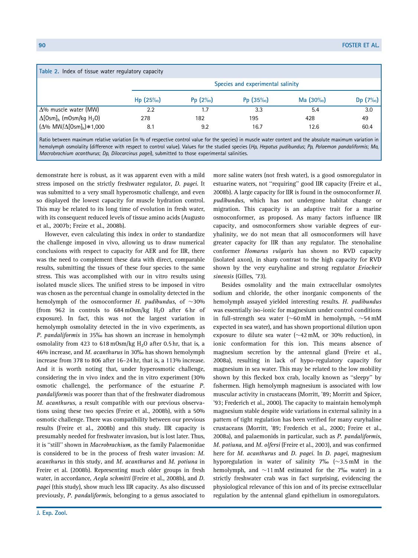| Table 2. Index of tissue water regulatory capacity     |                                   |           |             |            |           |  |  |  |
|--------------------------------------------------------|-----------------------------------|-----------|-------------|------------|-----------|--|--|--|
|                                                        | Species and experimental salinity |           |             |            |           |  |  |  |
|                                                        | $Hp(25\%)$                        | $Pp(2\%)$ | Pp $(35\%)$ | $Ma(30\%)$ | $Dp(7\%)$ |  |  |  |
| $\Delta\%$ muscle water (MW)                           | 2.2                               | 1.7       | 3.3         | 5.4        | 3.0       |  |  |  |
| $\Delta$ [Osm] <sub>h</sub> (mOsm/kg H <sub>2</sub> O) | 278                               | 182       | 195         | 428        | 49        |  |  |  |
| $(\Delta\% \text{ MW}/\Delta[\text{Osm}]_h) * 1,000$   | 8.1                               | 9.2       | 16.7        | 12.6       | 60.4      |  |  |  |

Ratio between maximum relative variation (in % of respective control value for the species) in muscle water content and the absolute maximum variation in hemolymph osmolality (difference with respect to control value). Values for the studied species (Hp, Hepatus pudibundus; Pp, Palaemon pandaliformis; Ma, Macrobrachium acanthurus; Dp, Dilocarcinus pagei), submitted to those experimental salinities.

demonstrate here is robust, as it was apparent even with a mild stress imposed on the strictly freshwater regulator, D. pagei. It was submitted to a very small hyperosmotic challenge, and even so displayed the lowest capacity for muscle hydration control. This may be related to its long time of evolution in fresh water, with its consequent reduced levels of tissue amino acids (Augusto et al., 2007b; Freire et al., 2008b).

However, even calculating this index in order to standardize the challenge imposed in vivo, allowing us to draw numerical conclusions with respect to capacity for AER and for IIR, there was the need to complement these data with direct, comparable results, submitting the tissues of these four species to the same stress. This was accomplished with our in vitro results using isolated muscle slices. The unified stress to be imposed in vitro was chosen as the percentual change in osmolality detected in the hemolymph of the osmoconformer H. pudibundus, of  $\sim$ 30% (from 962 in controls to 684 mOsm/kg  $H_2O$  after 6 hr of exposure). In fact, this was not the largest variation in hemolymph osmolality detected in the in vivo experiments, as P. pandaliformis in 35% has shown an increase in hemolymph osmolality from 423 to 618 mOsm/kg  $H<sub>2</sub>$ O after 0.5 hr, that is, a 46% increase, and M. acanthurus in 30% has shown hemolymph increase from 378 to 806 after 16–24 hr, that is, a 113% increase. And it is worth noting that, under hyperosmotic challenge, considering the in vivo index and the in vitro experiment (30% osmotic challenge), the performance of the estuarine P. pandaliformis was poorer than that of the freshwater diadromous M. acanthurus, a result compatible with our previous observations using these two species (Freire et al., 2008b), with a 50% osmotic challenge. There was compatibility between our previous results (Freire et al., 2008b) and this study. IIR capacity is presumably needed for freshwater invasion, but is lost later. Thus, it is ''still'' shown in Macrobrachium, as the family Palaemonidae is considered to be in the process of fresh water invasion: M. acanthurus in this study, and M. acanthurus and M. potiuna in Freire et al. (2008b). Representing much older groups in fresh water, in accordance, Aegla schmitti (Freire et al., 2008b), and D. pagei (this study), show much less IIR capacity. As also discussed previously, P. pandaliformis, belonging to a genus associated to

more saline waters (not fresh water), is a good osmoregulator in estuarine waters, not ''requiring'' good IIR capacity (Freire et al., 2008b). A large capacity for IIR is found in the osmoconformer H. pudibundus, which has not undergone habitat change or migration. This capacity is an adaptive trait for a marine osmoconformer, as proposed. As many factors influence IIR capacity, and osmoconformers show variable degrees of euryhalinity, we do not mean that all osmoconformers will have greater capacity for IIR than any regulator. The stenohaline conformer Homarus vulgaris has shown no RVD capacity (isolated axon), in sharp contrast to the high capacity for RVD shown by the very euryhaline and strong regulator Eriocheir sinensis (Gilles, '73).

Besides osmolality and the main extracellular osmolytes sodium and chloride, the other inorganic components of the hemolymph assayed yielded interesting results. H. pudibundus was essentially iso-ionic for magnesium under control conditions in full-strength sea water ( $\sim$ 60 mM in hemolymph,  $\sim$ 54 mM expected in sea water), and has shown proportional dilution upon exposure to dilute sea water ( $\sim$  42 mM, or 30% reduction), in ionic conformation for this ion. This means absence of magnesium secretion by the antennal gland (Freire et al., 2008a), resulting in lack of hypo-regulatory capacity for magnesium in sea water. This may be related to the low mobility shown by this flecked box crab, locally known as ''sleepy'' by fishermen. High hemolymph magnesium is associated with low muscular activity in crustaceans (Morritt, '89; Morritt and Spicer, '93; Frederich et al., 2000). The capacity to maintain hemolymph magnesium stable despite wide variations in external salinity in a pattern of tight regulation has been verified for many euryhaline crustaceans (Morritt, '89; Frederich et al., 2000; Freire et al., 2008a), and palaemonids in particular, such as P. pandaliformis, M. potiuna, and M. olfersi (Freire et al., 2003), and was confirmed here for M. acanthurus and D. pagei. In D. pagei, magnesium hyporegulation in water of salinity  $7\%$  ( $\sim$ 3.5 mM in the hemolymph, and  $\sim$ 11 mM estimated for the 7‰ water) in a strictly freshwater crab was in fact surprising, evidencing the physiological relevance of this ion and of its precise extracellular regulation by the antennal gland epithelium in osmoregulators.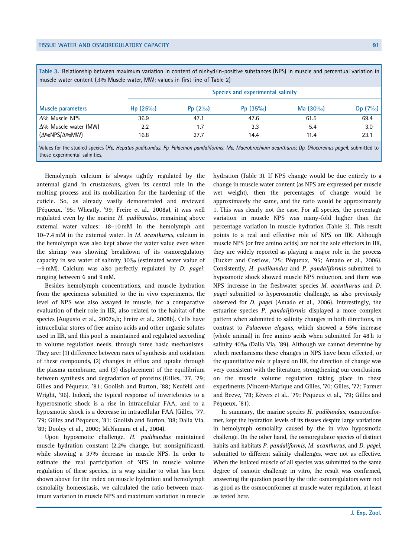Table 3. Relationship between maximum variation in content of ninhydrin-positive substances (NPS) in muscle and percentual variation in muscle water content ( $\Delta\%$  Muscle water, MW; values in first line of Table 2)

| Muscle parameters            |            | Species and experimental salinity |            |             |           |  |  |  |  |
|------------------------------|------------|-----------------------------------|------------|-------------|-----------|--|--|--|--|
|                              | $Hp(25\%)$ | Pp $(2\%)$                        | $Pp(35\%)$ | Ma $(30\%)$ | $Dp(7\%)$ |  |  |  |  |
| $\Delta\%$ Muscle NPS        | 36.9       | 47.1                              | 47.6       | 61.5        | 69.4      |  |  |  |  |
| $\Delta\%$ Muscle water (MW) | 2.2        | 1.7                               | 3.3        | 5.4         | 3.0       |  |  |  |  |
| $(\Delta\%NPS/\Delta\%MW)$   | 16.8       | 27.7                              | 14.4       | 11.4        | 23.1      |  |  |  |  |
|                              |            |                                   |            |             |           |  |  |  |  |

Values for the studied species (Hp, Hepatus pudibundus; Pp, Palaemon pandaliformis; Ma, Macrobrachium acanthurus; Dp, Dilocarcinus pagei), submitted to those experimental salinities.

Hemolymph calcium is always tightly regulated by the antennal gland in crustaceans, given its central role in the molting process and its mobilization for the hardening of the cuticle. So, as already vastly demonstrated and reviewed (Péqueux, '95; Wheatly, '99; Freire et al., 2008a), it was well regulated even by the marine H. pudibundus, remaining above external water values: 18–10 mM in the hemolymph and 10–7.4 mM in the external water. In M. acanthurus, calcium in the hemolymph was also kept above the water value even when the shrimp was showing breakdown of its osmoregulatory capacity in sea water of salinity 30% (estimated water value of  $\sim$ 9 mM). Calcium was also perfectly regulated by *D. pagei*: ranging between 6 and 9 mM.

Besides hemolymph concentrations, and muscle hydration from the specimens submitted to the in vivo experiments, the level of NPS was also assayed in muscle, for a comparative evaluation of their role in IIR, also related to the habitat of the species (Augusto et al., 2007a,b; Freire et al., 2008b). Cells have intracellular stores of free amino acids and other organic solutes used in IIR, and this pool is maintained and regulated according to volume regulation needs, through three basic mechanisms. They are: (1) difference between rates of synthesis and oxidation of these compounds, (2) changes in efflux and uptake through the plasma membrane, and (3) displacement of the equilibrium between synthesis and degradation of proteins (Gilles, '77, '79; Gilles and Péqueux, '81; Goolish and Burton, '88; Neufeld and Wright, '96). Indeed, the typical response of invertebrates to a hyperosmotic shock is a rise in intracellular FAA, and to a hyposmotic shock is a decrease in intracellular FAA (Gilles, '77, '79; Gilles and Péqueux, '81; Goolish and Burton, '88; Dalla Via, '89; Dooley et al., 2000; McNamara et al., 2004).

Upon hyposmotic challenge, H. pudibundus maintained muscle hydration constant (2.2% change, but nonsignificant), while showing a 37% decrease in muscle NPS. In order to estimate the real participation of NPS in muscle volume regulation of these species, in a way similar to what has been shown above for the index on muscle hydration and hemolymph osmolality homeostasis, we calculated the ratio between maximum variation in muscle NPS and maximum variation in muscle

hydration (Table 3). If NPS change would be due entirely to a change in muscle water content (as NPS are expressed per muscle wet weight), then the percentages of change would be approximately the same, and the ratio would be approximately 1. This was clearly not the case. For all species, the percentage variation in muscle NPS was many-fold higher than the percentage variation in muscle hydration (Table 3). This result points to a real and effective role of NPS on IIR. Although muscle NPS (or free amino acids) are not the sole effectors in IIR, they are widely reported as playing a major role in the process (Tucker and Costlow, '75; Péqueux, '95; Amado et al., 2006). Consistently, H. pudibundus and P. pandaliformis submitted to hyposmotic shock showed muscle NPS reduction, and there was NPS increase in the freshwater species M. acanthurus and D. pagei submitted to hyperosmotic challenge, as also previously observed for D. pagei (Amado et al., 2006). Interestingly, the estuarine species P. pandaliformis displayed a more complex pattern when submitted to salinity changes in both directions, in contrast to Palaemon elegans, which showed a 55% increase (whole animal) in free amino acids when submitted for 48 h to salinity 40‰ (Dalla Via, '89). Although we cannot determine by which mechanisms these changes in NPS have been effected, or the quantitative role it played on IIR, the direction of change was very consistent with the literature, strengthening our conclusions on the muscle volume regulation taking place in these experiments (Vincent-Marique and Gilles, '70; Gilles, '77; Farmer and Reeve, '78; Kévers et al., '79; Péqueux et al., '79; Gilles and Péqueux, '81).

In summary, the marine species H. pudibundus, osmoconformer, kept the hydration levels of its tissues despite large variations in hemolymph osmolality caused by the in vivo hyposmotic challenge. On the other hand, the osmoregulator species of distinct habits and habitats P. pandaliformis, M. acanthurus, and D. pagei, submitted to different salinity challenges, were not as effective. When the isolated muscle of all species was submitted to the same degree of osmotic challenge in vitro, the result was confirmed, answering the question posed by the title: osmoregulators were not as good as the osmoconformer at muscle water regulation, at least as tested here.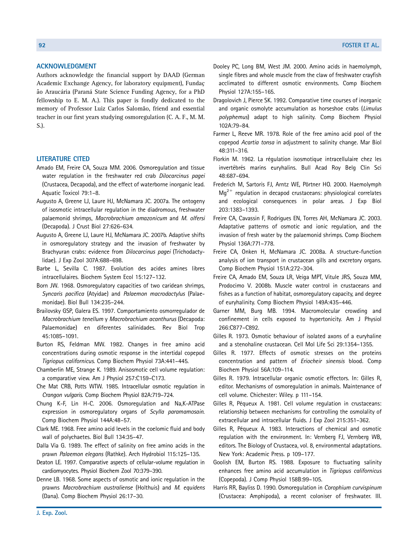## ACKNOWLEDGMENT

Authors acknowledge the financial support by DAAD (German Academic Exchange Agency, for laboratory equipment), Fundacão Araucária (Paraná State Science Funding Agency, for a PhD fellowship to E. M. A.). This paper is fondly dedicated to the memory of Professor Luiz Carlos Salomão, friend and essential teacher in our first years studying osmoregulation (C. A. F., M. M. S.).

# LITERATURE CITED

- Amado EM, Freire CA, Souza MM. 2006. Osmoregulation and tissue water regulation in the freshwater red crab Dilocarcinus pagei (Crustacea, Decapoda), and the effect of waterborne inorganic lead. Aquatic Toxicol 79:1–8.
- Augusto A, Greene LJ, Laure HJ, McNamara JC. 2007a. The ontogeny of isosmotic intracellular regulation in the diadromous, freshwater palaemonid shrimps, Macrobrachium amazonicum and M. olfersi (Decapoda). J Crust Biol 27:626–634.
- Augusto A, Greene LJ, Laure HJ, McNamara JC. 2007b. Adaptive shifts in osmoregulatory strategy and the invasion of freshwater by Brachyuran crabs: evidence from Dilocarcinus pagei (Trichodactylidae). J Exp Zool 307A:688–698.
- Barbe L, Sevilla C. 1987. Evolution des acides amines libres intracellulaires. Biochem System Ecol 15:127–132.
- Born JW. 1968. Osmoregulatory capacities of two caridean shrimps, Syncaris pacifica (Atyidae) and Palaemon macrodactylus (Palaemonidae). Biol Bull 134:235–244.
- Brailovsky GSP, Galera ES. 1997. Comportamiento osmorregulador de Macrobrachium tenellum y Macrobrachium acanthurus (Decapoda: Palaemonidae) en diferentes salinidades. Rev Biol Trop 45:1085–1091.
- Burton RS, Feldman MW. 1982. Changes in free amino acid concentrations during osmotic response in the intertidal copepod Tigriopus californicus. Comp Biochem Physiol 73A:441–445.
- Chamberlin ME, Strange K. 1989. Anisosmotic cell volume regulation: a comparative view. Am J Physiol 257:C159–C173.
- Che Mat CRB, Potts WTW. 1985. Intracellular osmotic regulation in Crangon vulgaris. Comp Biochem Physiol 82A:719–724.
- Chung K-F, Lin H-C. 2006. Osmoregulation and Na,K-ATPase expression in osmoregulatory organs of Scylla paramamosain. Comp Biochem Physiol 144A:48–57.
- Clark ME. 1968. Free amino acid levels in the coelomic fluid and body wall of polychaetes. Biol Bull 134:35–47.
- Dalla Via G. 1989. The effect of salinity on free amino acids in the prawn Palaemon elegans (Rathke). Arch Hydrobiol 115:125–135.
- Deaton LE. 1997. Comparative aspects of cellular-volume regulation in cardiomyocytes. Physiol Biochem Zool 70:379–390.
- Denne LB. 1968. Some aspects of osmotic and ionic regulation in the prawns Macrobrachium australiense (Holthuis) and M. equidens (Dana). Comp Biochem Physiol 26:17–30.
- Dooley PC, Long BM, West JM. 2000. Amino acids in haemolymph, single fibres and whole muscle from the claw of freshwater crayfish acclimated to different osmotic environments. Comp Biochem Physiol 127A:155–165.
- Dragolovich J, Pierce SK. 1992. Comparative time courses of inorganic and organic osmolyte accumulation as horseshoe crabs (Limulus polyphemus) adapt to high salinity. Comp Biochem Physiol 102A:79–84.
- Farmer L, Reeve MR. 1978. Role of the free amino acid pool of the copepod Acartia tonsa in adjustment to salinity change. Mar Biol 48:311–316.
- Florkin M. 1962. La régulation isosmotique intracellulaire chez les invertébrés marins euryhalins. Bull Acad Roy Belg Clin Sci 48:687–694.
- Frederich M, Sartoris FJ, Arntz WE, Pörtner HO. 2000. Haemolymph  $Mq^{2+}$  regulation in decapod crustaceans: physiological correlates and ecological consequences in polar areas. J Exp Biol 203:1383–1393.
- Freire CA, Cavassin F, Rodrigues EN, Torres AH, McNamara JC. 2003. Adaptative patterns of osmotic and ionic regulation, and the invasion of fresh water by the palaemonid shrimps. Comp Biochem Physiol 136A:771–778.
- Freire CA, Onken H, McNamara JC. 2008a. A structure-function analysis of ion transport in crustacean gills and excretory organs. Comp Biochem Physiol 151A:272–304.
- Freire CA, Amado EM, Souza LR, Veiga MPT, Vitule JRS, Souza MM, Prodocimo V. 2008b. Muscle water control in crustaceans and fishes as a function of habitat, osmoregulatory capacity, and degree of euryhalinity. Comp Biochem Physiol 149A:435–446.
- Garner MM, Burg MB. 1994. Macromolecular crowding and confinement in cells exposed to hypertonicity. Am J Physiol 266:C877–C892.
- Gilles R. 1973. Osmotic behaviour of isolated axons of a euryhaline and a stenohaline crustacean. Cell Mol Life Sci 29:1354–1355.
- Gilles R. 1977. Effects of osmotic stresses on the proteins concentration and pattern of Eriocheir sinensis blood. Comp Biochem Physiol 56A:109–114.
- Gilles R. 1979. Intracellular organic osmotic effectors. In: Gilles R, editor. Mechanisms of osmoregulation in animals. Maintenance of cell volume. Chichester: Wiley. p 111–154.
- Gilles R, Péqueux A. 1981. Cell volume regulation in crustaceans: relationship between mechanisms for controlling the osmolality of extracellular and intracellular fluids. J Exp Zool 215:351–362.
- Gilles R, Péqueux A. 1983. Interactions of chemical and osmotic regulation with the environment. In: Vernberg FJ, Vernberg WB, editors. The Biology of Crustacea, vol. 8, environmental adaptations. New York: Academic Press. p 109–177.
- Goolish EM, Burton RS. 1988. Exposure to fluctuating salinity enhances free amino acid accumulation in Tigriopus californicus (Copepoda). J Comp Physiol 158B:99–105.
- Harris RR, Bayliss D. 1990. Osmoregulation in Corophium curvispinum (Crustacea: Amphipoda), a recent coloniser of freshwater. III.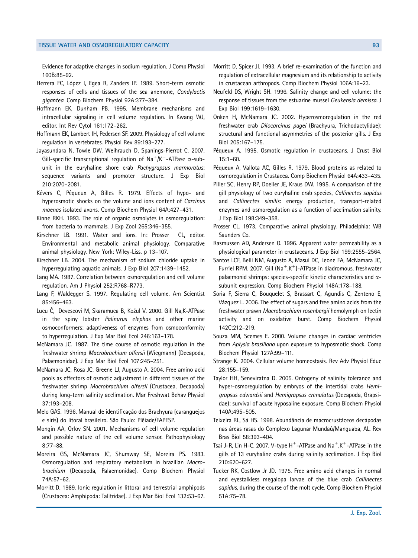Evidence for adaptive changes in sodium regulation. J Comp Physiol 160B:85–92.

- Herrera FC, López I, Egea R, Zanders IP. 1989. Short-term osmotic responses of cells and tissues of the sea anemone, Condylactis gigantea. Comp Biochem Physiol 92A:377–384.
- Hoffmann EK, Dunham PB. 1995. Membrane mechanisms and intracellular signaling in cell volume regulation. In Kwang WJ, editor. Int Rev Cytol 161:172–262.
- Hoffmann EK, Lambert IH, Pedersen SF. 2009. Physiology of cell volume regulation in vertebrates. Physiol Rev 89:193–277.
- Jayasundara N, Towle DW, Weihrauch D, Spanings-Pierrot C. 2007. Gill-specific transcriptional regulation of  $\text{Na}^+/K^+$ -ATPase  $\alpha$ -subunit in the euryhaline shore crab Pachygrapsus marmoratus: sequence variants and promoter structure. J Exp Biol 210:2070–2081.
- Kévers C, Péqueux A, Gilles R. 1979. Effects of hypo- and hyperosmotic shocks on the volume and ions content of Carcinus maenas isolated axons. Comp Biochem Physiol 64A:427–431.
- Kinne RKH. 1993. The role of organic osmolytes in osmoregulation: from bacteria to mammals. J Exp Zool 265:346–355.
- Kirschner LB. 1991. Water and ions. In: Prosser CL, editor. Environmental and metabolic animal physiology. Comparative animal physiology. New York: Wiley-Liss. p 13–107.
- Kirschner LB. 2004. The mechanism of sodium chloride uptake in hyperregulating aquatic animals. J Exp Biol 207:1439–1452.
- Lang MA. 1987. Correlation between osmoregulation and cell volume regulation. Am J Physiol 252:R768–R773.
- Lang F, Waldegger S. 1997. Regulating cell volume. Am Scientist 85:456–463.
- Lucu Č, Devescovi M, Skaramuca B, Kožul V. 2000. Gill Na,K-ATPase in the spiny lobster Palinurus elephas and other marine osmoconformers: adaptiveness of enzymes from osmoconformity to hyperregulation. J Exp Mar Biol Ecol 246:163–178.
- McNamara JC. 1987. The time course of osmotic regulation in the freshwater shrimp Macrobrachium olfersii (Wiegmann) (Decapoda, Palaemonidae). J Exp Mar Biol Ecol 107:245–251.
- McNamara JC, Rosa JC, Greene LJ, Augusto A. 2004. Free amino acid pools as effectors of osmotic adjustment in different tissues of the freshwater shrimp Macrobrachium olfersii (Crustacea, Decapoda) during long-term salinity acclimation. Mar Freshwat Behav Physiol 37:193–208.
- Melo GAS. 1996. Manual de identificação dos Brachyura (caranguejos e siris) do litoral brasileiro. São Paulo: Plêiade/FAPESP.
- Mongin AA, Orlov SN. 2001. Mechanisms of cell volume regulation and possible nature of the cell volume sensor. Pathophysiology 8:77–88.
- Moreira GS, McNamara JC, Shumway SE, Moreira PS. 1983. Osmoregulation and respiratory metabolism in brazilian Macrobrachium (Decapoda, Palaemonidae). Comp Biochem Physiol 74A:57–62.
- Morritt D. 1989. Ionic regulation in littoral and terrestrial amphipods (Crustacea: Amphipoda: Talitridae). J Exp Mar Biol Ecol 132:53–67.
- Morritt D, Spicer JI. 1993. A brief re-examination of the function and regulation of extracellular magnesium and its relationship to activity in crustacean arthropods. Comp Biochem Physiol 106A:19–23.
- Neufeld DS, Wright SH. 1996. Salinity change and cell volume: the response of tissues from the estuarine mussel Geukensia demissa. J Exp Biol 199:1619–1630.
- Onken H, McNamara JC. 2002. Hyperosmoregulation in the red freshwater crab Dilocarcinus pagei (Brachyura, Trichodactylidae): structural and functional asymmetries of the posterior gills. J Exp Biol 205:167–175.
- Péqueux A. 1995. Osmotic regulation in crustaceans. J Crust Biol 15:1–60.
- Péqueux A, Vallota AC, Gilles R. 1979. Blood proteins as related to osmoregulation in Crustacea. Comp Biochem Physiol 64A:433–435.
- Piller SC, Henry RP, Doeller JE, Kraus DW. 1995. A comparison of the gill physiology of two euryhaline crab species, Callinectes sapidus and Callinectes similis: energy production, transport-related enzymes and osmoregulation as a function of acclimation salinity. J Exp Biol 198:349–358.
- Prosser CL. 1973. Comparative animal physiology. Philadelphia: WB Saunders Co.
- Rasmussen AD, Andersen O. 1996. Apparent water permeability as a physiological parameter in crustaceans. J Exp Biol 199:2555–2564.
- Santos LCF, Belli NM, Augusto A, Masui DC, Leone FA, McNamara JC, Furriel RPM. 2007. Gill  $(Na^+, K^+)$ -ATPase in diadromous, freshwater palaemonid shrimps: species-specific kinetic characteristics and  $\alpha$ subunit expression. Comp Biochem Physiol 148A:178–188.
- Soria F, Sierra C, Bouquelet S, Brassart C, Agundis C, Zenteno E, Vázquez L. 2006. The effect of sugars and free amino acids from the freshwater prawn Macrobrachium rosenbergii hemolymph on lectin activity and on oxidative burst. Comp Biochem Physiol 142C:212–219.
- Souza MM, Scemes E. 2000. Volume changes in cardiac ventricles from Aplysia brasiliana upon exposure to hyposmotic shock. Comp Biochem Physiol 127A:99–111.
- Strange K. 2004. Cellular volume homeostasis. Rev Adv Physiol Educ 28:155–159.
- Taylor HH, Seneviratna D. 2005. Ontogeny of salinity tolerance and hyper-osmoregulation by embryos of the intertidal crabs Hemigrapsus edwardsii and Hemigrapsus crenulatus (Decapoda, Grapsidae): survival of acute hyposaline exposure. Comp Biochem Physiol 140A:495–505.
- Teixeira RL, Sá HS. 1998. Abundância de macrocrustáceos decápodas nas áreas rasas do Complexo Lagunar Mundaú/Manguaba, AL. Rev Bras Biol 58:393–404.
- Tsai J-R, Lin H-C. 2007. V-type  $H^+$ -ATPase and Na<sup>+</sup>,K<sup>+</sup>-ATPase in the gills of 13 euryhaline crabs during salinity acclimation. J Exp Biol 210:620–627.
- Tucker RK, Costlow Jr JD. 1975. Free amino acid changes in normal and eyestalkless megalopa larvae of the blue crab Callinectes sapidus, during the course of the molt cycle. Comp Biochem Physiol 51A:75–78.